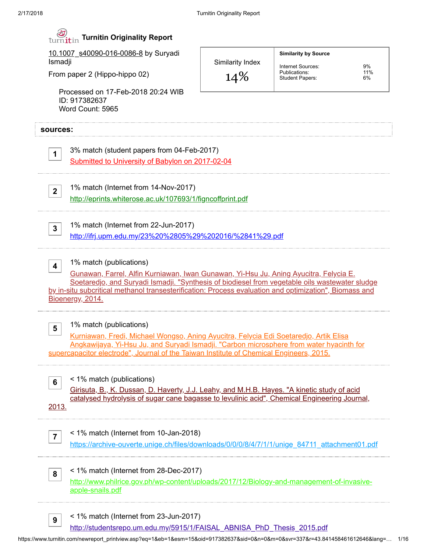| 10.1007 s40090-016-0086-8 by Suryadi<br>Ismadji<br>From paper 2 (Hippo-hippo 02) |                                                                                                                                                                                                                                                                                                                                                  | Similarity Index | <b>Similarity by Source</b>                                  |                 |  |
|----------------------------------------------------------------------------------|--------------------------------------------------------------------------------------------------------------------------------------------------------------------------------------------------------------------------------------------------------------------------------------------------------------------------------------------------|------------------|--------------------------------------------------------------|-----------------|--|
|                                                                                  |                                                                                                                                                                                                                                                                                                                                                  | 14%              | Internet Sources:<br>Publications:<br><b>Student Papers:</b> | 9%<br>11%<br>6% |  |
|                                                                                  | Processed on 17-Feb-2018 20:24 WIB<br>ID: 917382637<br>Word Count: 5965                                                                                                                                                                                                                                                                          |                  |                                                              |                 |  |
| sources:                                                                         |                                                                                                                                                                                                                                                                                                                                                  |                  |                                                              |                 |  |
| $\mathbf 1$                                                                      | 3% match (student papers from 04-Feb-2017)<br>Submitted to University of Babylon on 2017-02-04                                                                                                                                                                                                                                                   |                  |                                                              |                 |  |
| $2^{\circ}$                                                                      | 1% match (Internet from 14-Nov-2017)                                                                                                                                                                                                                                                                                                             |                  |                                                              |                 |  |
|                                                                                  | http://eprints.whiterose.ac.uk/107693/1/figncoffprint.pdf                                                                                                                                                                                                                                                                                        |                  |                                                              |                 |  |
| $3\phantom{a}$                                                                   | 1% match (Internet from 22-Jun-2017)<br>http://ifrj.upm.edu.my/23%20%2805%29%202016/%2841%29.pdf                                                                                                                                                                                                                                                 |                  |                                                              |                 |  |
|                                                                                  |                                                                                                                                                                                                                                                                                                                                                  |                  |                                                              |                 |  |
| $\overline{\mathbf{4}}$                                                          | 1% match (publications)<br>Gunawan, Farrel, Alfin Kurniawan, Iwan Gunawan, Yi-Hsu Ju, Aning Ayucitra, Felycia E.<br>Soetaredjo, and Suryadi Ismadji. "Synthesis of biodiesel from vegetable oils wastewater sludge<br>by in-situ subcritical methanol transesterification: Process evaluation and optimization", Biomass and<br>Bioenergy, 2014. |                  |                                                              |                 |  |
| 5                                                                                | 1% match (publications)<br>Kurniawan, Fredi, Michael Wongso, Aning Ayucitra, Felycia Edi Soetaredjo, Artik Elisa<br>Angkawijaya, Yi-Hsu Ju, and Suryadi Ismadji. "Carbon microsphere from water hyacinth for<br>supercapacitor electrode", Journal of the Taiwan Institute of Chemical Engineers, 2015.                                          |                  |                                                              |                 |  |
| 6<br>2013.                                                                       | < 1% match (publications)<br><u>Girisuta, B., K. Dussan, D. Haverty, J.J. Leahy, and M.H.B. Hayes. "A kinetic study of acid</u><br>catalysed hydrolysis of sugar cane bagasse to levulinic acid", Chemical Engineering Journal,                                                                                                                  |                  |                                                              |                 |  |
| $\overline{\mathbf{7}}$                                                          | < 1% match (Internet from 10-Jan-2018)<br>https://archive-ouverte.unige.ch/files/downloads/0/0/0/8/4/7/1/1/unige 84711 attachment01.pdf                                                                                                                                                                                                          |                  |                                                              |                 |  |

https://www.turnitin.com/newreport\_printview.asp?eq=1&eb=1&esm=15&oid=917382637&sid=0&n=0&m=0&svr=337&r=43.841458461612646&lang=… 1/16

[http://studentsrepo.um.edu.my/5915/1/FAISAL\\_ABNISA\\_PhD\\_Thesis\\_2015.pdf](http://studentsrepo.um.edu.my/5915/1/FAISAL_ABNISA_PhD_Thesis_2015.pdf)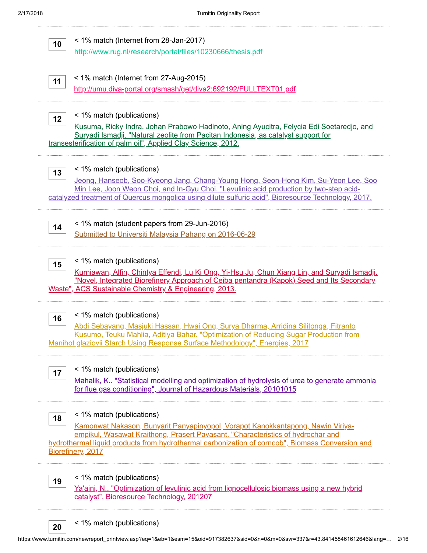

< 1% match (publications)

20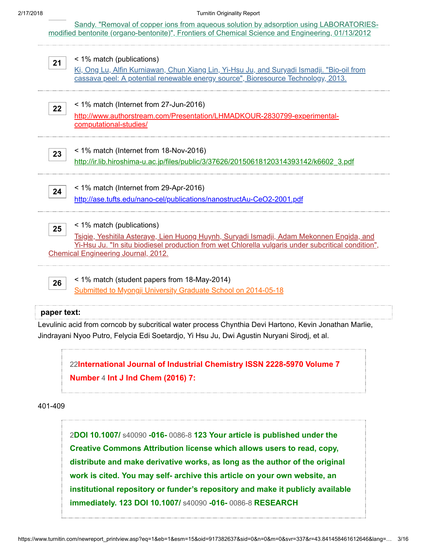Sandy. "Removal of copper ions from aqueous solution by adsorption using LABORATORIES[modified bentonite \(organo-bentonite\)", Frontiers of Chemical Science and Engineering, 01/13/2012](http://dx.doi.org/10.1007/s11705-011-1160-6)

| 21 | < 1% match (publications)<br><u>Ki, Ong Lu, Alfin Kurniawan, Chun Xiang Lin, Yi-Hsu Ju, and Suryadi Ismadji. "Bio-oil from</u><br>cassava peel: A potential renewable energy source", Bioresource Technology, 2013.                                                       |
|----|---------------------------------------------------------------------------------------------------------------------------------------------------------------------------------------------------------------------------------------------------------------------------|
| 22 | < 1% match (Internet from 27-Jun-2016)<br>http://www.authorstream.com/Presentation/LHMADKOUR-2830799-experimental-<br>computational-studies/                                                                                                                              |
| 23 | < 1% match (Internet from 18-Nov-2016)<br>http://ir.lib.hiroshima-u.ac.jp/files/public/3/37626/20150618120314393142/k6602 3.pdf                                                                                                                                           |
| 24 | < 1% match (Internet from 29-Apr-2016)<br>http://ase.tufts.edu/nano-cel/publications/nanostructAu-CeO2-2001.pdf                                                                                                                                                           |
| 25 | < 1% match (publications)<br>Tsigie, Yeshitila Asteraye, Lien Huong Huynh, Suryadi Ismadji, Adam Mekonnen Engida, and<br>Yi-Hsu Ju. "In situ biodiesel production from wet Chlorella vulgaris under subcritical condition",<br><b>Chemical Engineering Journal, 2012.</b> |
| 26 | < 1% match (student papers from 18-May-2014)<br>Submitted to Myongji University Graduate School on 2014-05-18                                                                                                                                                             |

#### paper text:

Levulinic acid from corncob by subcritical water process Chynthia Devi Hartono, Kevin Jonathan Marlie, Jindrayani Nyoo Putro, Felycia Edi Soetardjo, Yi Hsu Ju, Dwi Agustin Nuryani Sirodj, et al.

22[International Journal of Industrial Chemistry ISSN 2228-5970 Volume 7](javascript:openDSC(2032827351, 2474, ) Number 4 Int J Ind Chem (2016) 7:

401-409

2DOI 10.1007/ s40090 -016- 0086-8 123 Your article is published under the Creative Commons Attribution license which allows users to read, copy, distribute and make derivative works, as long as the author of the original work is cited. You may self- archive this article on your own website, an [institutional repository or funder's repository and make it publicly available](javascript:openDSC(2387418934, 2909, ) immediately. 123 DOI 10.1007/ s40090 -016- 0086-8 RESEARCH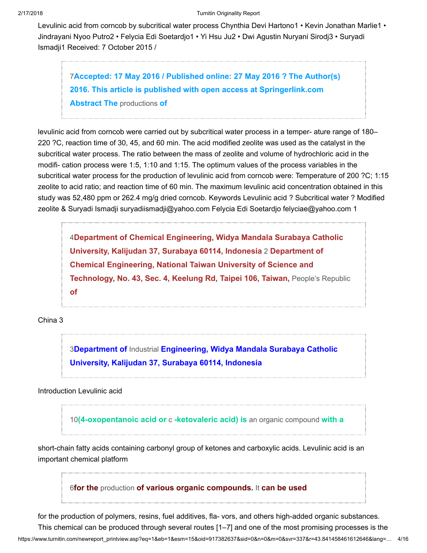Levulinic acid from corncob by subcritical water process Chynthia Devi Hartono1 • Kevin Jonathan Marlie1 • Jindrayani Nyoo Putro2 • Felycia Edi Soetardjo1 • Yi Hsu Ju2 • Dwi Agustin Nuryani Sirodj3 • Suryadi Ismadji1 Received: 7 October 2015 /

7[Accepted: 17 May 2016 / Published online: 27 May 2016 ? The Author\(s\)](javascript:openDSC(3296938648, 2909, ) 2016. This article is published with open access at Springerlink.com Abstract The productions of

levulinic acid from corncob were carried out by subcritical water process in a temper- ature range of 180– 220 ?C, reaction time of 30, 45, and 60 min. The acid modified zeolite was used as the catalyst in the subcritical water process. The ratio between the mass of zeolite and volume of hydrochloric acid in the modifi- cation process were 1:5, 1:10 and 1:15. The optimum values of the process variables in the subcritical water process for the production of levulinic acid from corncob were: Temperature of 200 ?C; 1:15 zeolite to acid ratio; and reaction time of 60 min. The maximum levulinic acid concentration obtained in this study was 52,480 ppm or 262.4 mg/g dried corncob. Keywords Levulinic acid ? Subcritical water ? Modified zeolite & Suryadi Ismadji suryadiismadji@yahoo.com Felycia Edi Soetardjo felyciae@yahoo.com 1

4[Department of Chemical Engineering, Widya Mandala Surabaya Catholic](javascript:openDSC(52230722, 37, ) University, Kalijudan 37, Surabaya 60114, Indonesia 2 Department of Chemical Engineering, National Taiwan University of Science and Technology, No. 43, Sec. 4, Keelung Rd, Taipei 106, Taiwan, People's Republic of

China 3

3Department of Industrial Engineering, Widya Mandala Surabaya Catholic [University, Kalijudan 37, Surabaya 60114, Indonesia](javascript:openDSC(788596661, 2909, )

Introduction Levulinic acid

10[\(4-oxopentanoic acid or](javascript:openDSC(4049896126, 2474, ) c-ketovaleric acid) is an organic compound with a

short-chain fatty acids containing carbonyl group of ketones and carboxylic acids. Levulinic acid is an important chemical platform

6for the production [of various organic compounds.](javascript:openDSC(42724136, 37, ) It can be used

for the production of polymers, resins, fuel additives, fla- vors, and others high-added organic substances. This chemical can be produced through several routes [1–7] and one of the most promising processes is the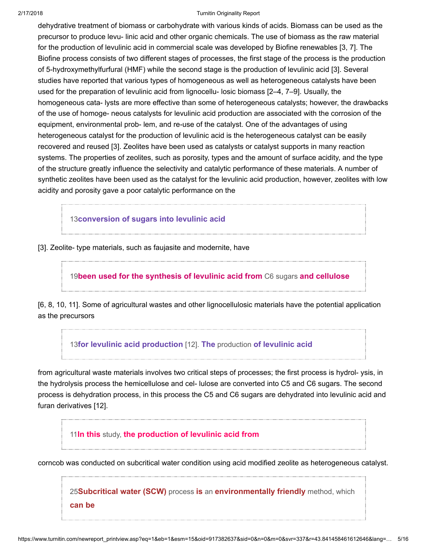#### 2/17/2018 Turnitin Originality Report

dehydrative treatment of biomass or carbohydrate with various kinds of acids. Biomass can be used as the precursor to produce levu- linic acid and other organic chemicals. The use of biomass as the raw material for the production of levulinic acid in commercial scale was developed by Biofine renewables [3, 7]. The Biofine process consists of two different stages of processes, the first stage of the process is the production of 5-hydroxymethylfurfural (HMF) while the second stage is the production of levulinic acid [3]. Several studies have reported that various types of homogeneous as well as heterogeneous catalysts have been used for the preparation of levulinic acid from lignocellu- losic biomass [2–4, 7–9]. Usually, the homogeneous cata- lysts are more effective than some of heterogeneous catalysts; however, the drawbacks of the use of homoge- neous catalysts for levulinic acid production are associated with the corrosion of the equipment, environmental prob- lem, and re-use of the catalyst. One of the advantages of using heterogeneous catalyst for the production of levulinic acid is the heterogeneous catalyst can be easily recovered and reused [3]. Zeolites have been used as catalysts or catalyst supports in many reaction systems. The properties of zeolites, such as porosity, types and the amount of surface acidity, and the type of the structure greatly influence the selectivity and catalytic performance of these materials. A number of synthetic zeolites have been used as the catalyst for the levulinic acid production, however, zeolites with low acidity and porosity gave a poor catalytic performance on the

13[conversion of sugars into levulinic acid](javascript:openDSC(59936622, 37, )

[3]. Zeolite- type materials, such as faujasite and modernite, have

19[been used for the synthesis of levulinic acid from](javascript:openDSC(38668244, 37, ) C6 sugars and cellulose

[6, 8, 10, 11]. Some of agricultural wastes and other lignocellulosic materials have the potential application as the precursors

13[for levulinic acid production](javascript:openDSC(59936622, 37, ) [12]. The production of levulinic acid

from agricultural waste materials involves two critical steps of processes; the first process is hydrol- ysis, in the hydrolysis process the hemicellulose and cel- lulose are converted into C5 and C6 sugars. The second process is dehydration process, in this process the C5 and C6 sugars are dehydrated into levulinic acid and furan derivatives [12].

11In this study, [the production of levulinic acid from](javascript:openDSC(2798977049, 2209, )

corncob was conducted on subcritical water condition using acid modified zeolite as heterogeneous catalyst.

25Subcritical water (SCW) process is an [environmentally friendly](javascript:openDSC(42055654, 37, ) method, which can be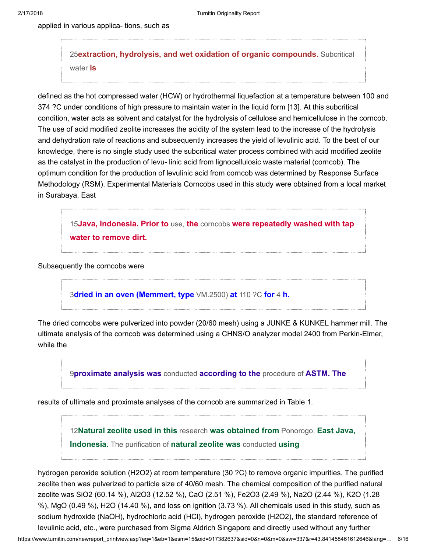applied in various applica- tions, such as

25[extraction, hydrolysis, and wet oxidation of organic compounds.](javascript:openDSC(42055654, 37, ) Subcritical water is

defined as the hot compressed water (HCW) or hydrothermal liquefaction at a temperature between 100 and 374 ?C under conditions of high pressure to maintain water in the liquid form [13]. At this subcritical condition, water acts as solvent and catalyst for the hydrolysis of cellulose and hemicellulose in the corncob. The use of acid modified zeolite increases the acidity of the system lead to the increase of the hydrolysis and dehydration rate of reactions and subsequently increases the yield of levulinic acid. To the best of our knowledge, there is no single study used the subcritical water process combined with acid modified zeolite as the catalyst in the production of levu- linic acid from lignocellulosic waste material (corncob). The optimum condition for the production of levulinic acid from corncob was determined by Response Surface Methodology (RSM). Experimental Materials Corncobs used in this study were obtained from a local market in Surabaya, East

15Java, Indonesia. Prior to use, the corncobs [were repeatedly washed with tap](javascript:openDSC(43182700, 37, ) water to remove dirt.

Subsequently the corncobs were

3[dried in an oven \(Memmert, type](javascript:openDSC(788596661, 2909, ) VM.2500) at 110 ?C for 4 h.

The dried corncobs were pulverized into powder (20/60 mesh) using a JUNKE & KUNKEL hammer mill. The ultimate analysis of the corncob was determined using a CHNS/O analyzer model 2400 from Perkin-Elmer, while the

9[proximate analysis was](javascript:openDSC(823765653, 2909, ) conducted according to the procedure of ASTM. The

results of ultimate and proximate analyses of the corncob are summarized in Table 1.

12[Natural zeolite used in this](javascript:openDSC(43792819, 37, ) research was obtained from Ponorogo, East Java, Indonesia. The purification of natural zeolite was conducted using

hydrogen peroxide solution (H2O2) at room temperature (30 ?C) to remove organic impurities. The purified zeolite then was pulverized to particle size of 40/60 mesh. The chemical composition of the purified natural zeolite was SiO2 (60.14 %), Al2O3 (12.52 %), CaO (2.51 %), Fe2O3 (2.49 %), Na2O (2.44 %), K2O (1.28 %), MgO (0.49 %), H2O (14.40 %), and loss on ignition (3.73 %). All chemicals used in this study, such as sodium hydroxide (NaOH), hydrochloric acid (HCl), hydrogen peroxide (H2O2), the standard reference of levulinic acid, etc., were purchased from Sigma Aldrich Singapore and directly used without any further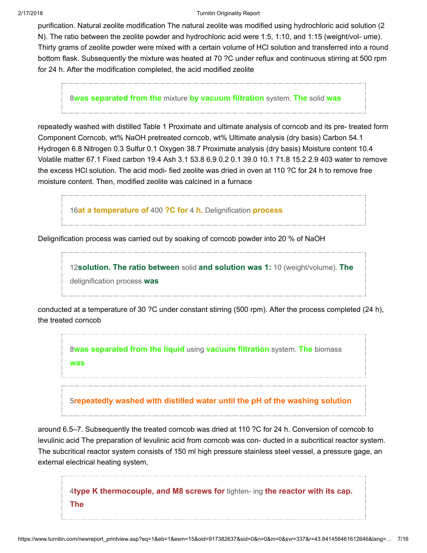#### 2/17/2018 Turnitin Originality Report

purification. Natural zeolite modification The natural zeolite was modified using hydrochloric acid solution (2 N). The ratio between the zeolite powder and hydrochloric acid were 1:5, 1:10, and 1:15 (weight/vol- ume). Thirty grams of zeolite powder were mixed with a certain volume of HCl solution and transferred into a round bottom flask. Subsequently the mixture was heated at 70 ?C under reflux and continuous stirring at 500 rpm for 24 h. After the modification completed, the acid modified zeolite

8[was separated from the](javascript:openDSC(3058890891, 2909, ) mixture by vacuum filtration system. The solid was

repeatedly washed with distilled Table 1 Proximate and ultimate analysis of corncob and its pre- treated form Component Corncob, wt% NaOH pretreated corncob, wt% Ultimate analysis (dry basis) Carbon 54.1 Hydrogen 6.8 Nitrogen 0.3 Sulfur 0.1 Oxygen 38.7 Proximate analysis (dry basis) Moisture content 10.4 Volatile matter 67.1 Fixed carbon 19.4 Ash 3.1 53.8 6.9 0.2 0.1 39.0 10.1 71.8 15.2 2.9 403 water to remove the excess HCl solution. The acid modi- fied zeolite was dried in oven at 110 ?C for 24 h to remove free moisture content. Then, modified zeolite was calcined in a furnace

16[at a temperature of](javascript:openDSC(581657296, 37, ) 400 ?C for 4 h. Delignification process

Delignification process was carried out by soaking of corncob powder into 20 % of NaOH

12[solution. The ratio between](javascript:openDSC(43792819, 37, ) solid and solution was 1: 10 (weight/volume). The delignification process was

conducted at a temperature of 30 ?C under constant stirring (500 rpm). After the process completed (24 h), the treated corncob

8[was separated from the liquid](javascript:openDSC(3058890891, 2909, ) using vacuum filtration system. The biomass was

5[repeatedly washed with distilled water until the pH of the washing solution](javascript:openDSC(57042313, 37, )

around 6.5–7. Subsequently the treated corncob was dried at 110 ?C for 24 h. Conversion of corncob to levulinic acid The preparation of levulinic acid from corncob was con- ducted in a subcritical reactor system. The subcritical reactor system consists of 150 ml high pressure stainless steel vessel, a pressure gage, an external electrical heating system,

4[type K thermocouple, and M8 screws for](javascript:openDSC(52230722, 37, ) tighten- ing the reactor with its cap. The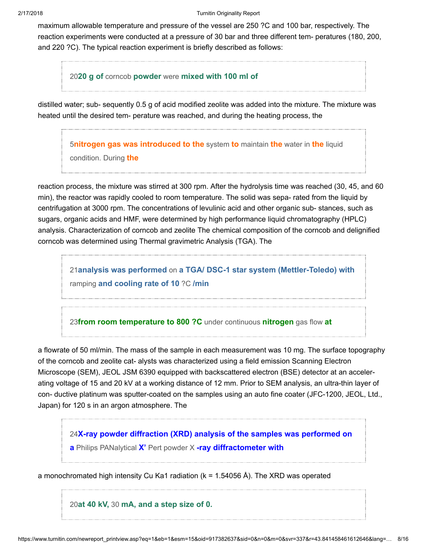maximum allowable temperature and pressure of the vessel are 250 ?C and 100 bar, respectively. The reaction experiments were conducted at a pressure of 30 bar and three different tem- peratures (180, 200, and 220 ?C). The typical reaction experiment is briefly described as follows:

2020 g of corncob powder were [mixed with 100 ml of](javascript:openDSC(36131038, 37, )

distilled water; sub- sequently 0.5 g of acid modified zeolite was added into the mixture. The mixture was heated until the desired tem- perature was reached, and during the heating process, the

**5[nitrogen gas was introduced to the](javascript:openDSC(57042313, 37, ) system to maintain the water in the liquid** 

condition. During the

reaction process, the mixture was stirred at 300 rpm. After the hydrolysis time was reached (30, 45, and 60 min), the reactor was rapidly cooled to room temperature. The solid was sepa- rated from the liquid by centrifugation at 3000 rpm. The concentrations of levulinic acid and other organic sub- stances, such as sugars, organic acids and HMF, were determined by high performance liquid chromatography (HPLC) analysis. Characterization of corncob and zeolite The chemical composition of the corncob and delignified corncob was determined using Thermal gravimetric Analysis (TGA). The

21analysis was performed on [a TGA/ DSC-1 star system \(Mettler-Toledo\) with](javascript:openDSC(45307163, 37, ) ramping and cooling rate of 10 ?C /min

23[from room temperature to 800 ?C](javascript:openDSC(3539350576, 2474, ) under continuous nitrogen gas flow at

a flowrate of 50 ml/min. The mass of the sample in each measurement was 10 mg. The surface topography of the corncob and zeolite cat- alysts was characterized using a field emission Scanning Electron Microscope (SEM), JEOL JSM 6390 equipped with backscattered electron (BSE) detector at an accelerating voltage of 15 and 20 kV at a working distance of 12 mm. Prior to SEM analysis, an ultra-thin layer of con- ductive platinum was sputter-coated on the samples using an auto fine coater (JFC-1200, JEOL, Ltd., Japan) for 120 s in an argon atmosphere. The

24[X-ray powder diffraction \(XRD\) analysis of the samples was performed on](javascript:openDSC(1137555740, 2474, ) a Philips PANalytical X' Pert powder X -ray diffractometer with

a monochromated high intensity Cu Ka1 radiation (k = 1.54056 Å). The XRD was operated

20at 40 kV, 30 [mA, and a step size of 0.](javascript:openDSC(36131038, 37, )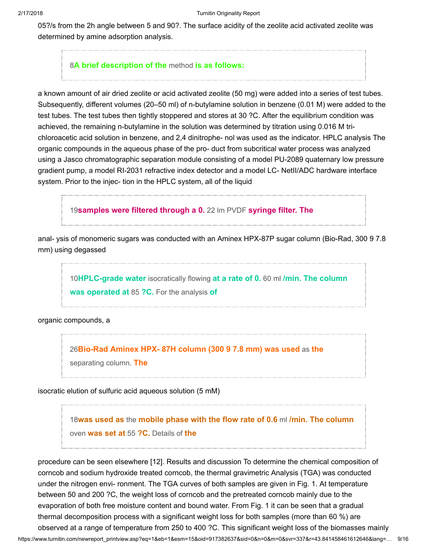05?/s from the 2h angle between 5 and 90?. The surface acidity of the zeolite acid activated zeolite was determined by amine adsorption analysis.

# 8[A brief description of the](javascript:openDSC(3058890891, 2909, ) method is as follows:

a known amount of air dried zeolite or acid activated zeolite (50 mg) were added into a series of test tubes. Subsequently, different volumes (20–50 ml) of n-butylamine solution in benzene (0.01 M) were added to the test tubes. The test tubes then tightly stoppered and stores at 30 ?C. After the equilibrium condition was achieved, the remaining n-butylamine in the solution was determined by titration using 0.016 M trichloroacetic acid solution in benzene, and 2,4 dinitrophe- nol was used as the indicator. HPLC analysis The organic compounds in the aqueous phase of the pro- duct from subcritical water process was analyzed using a Jasco chromatographic separation module consisting of a model PU-2089 quaternary low pressure gradient pump, a model RI-2031 refractive index detector and a model LC- NetII/ADC hardware interface system. Prior to the injec- tion in the HPLC system, all of the liquid

19[samples were filtered through a 0.](javascript:openDSC(38668244, 37, ) 22 Im PVDF syringe filter. The

anal- ysis of monomeric sugars was conducted with an Aminex HPX-87P sugar column (Bio-Rad, 300 9 7.8 mm) using degassed

10[HPLC-grade water](javascript:openDSC(4049896126, 2474, ) isocratically flowing at a rate of 0.60 ml /min. The column was operated at 85 ?C. For the analysis of

organic compounds, a

26[Bio-Rad Aminex HPX- 87H column \(300 9 7.8 mm\) was used](javascript:openDSC(428237596, 1, ) as the separating column. **The** 

isocratic elution of sulfuric acid aqueous solution (5 mM)

18was used as the [mobile phase with the flow rate of 0.6](javascript:openDSC(550336790, 37, ) ml /min. The column oven was set at 55 ?C. Details of the

procedure can be seen elsewhere [12]. Results and discussion To determine the chemical composition of corncob and sodium hydroxide treated corncob, the thermal gravimetric Analysis (TGA) was conducted under the nitrogen envi- ronment. The TGA curves of both samples are given in Fig. 1. At temperature between 50 and 200 ?C, the weight loss of corncob and the pretreated corncob mainly due to the evaporation of both free moisture content and bound water. From Fig. 1 it can be seen that a gradual thermal decomposition process with a significant weight loss for both samples (more than 60 %) are observed at a range of temperature from 250 to 400 ?C. This significant weight loss of the biomasses mainly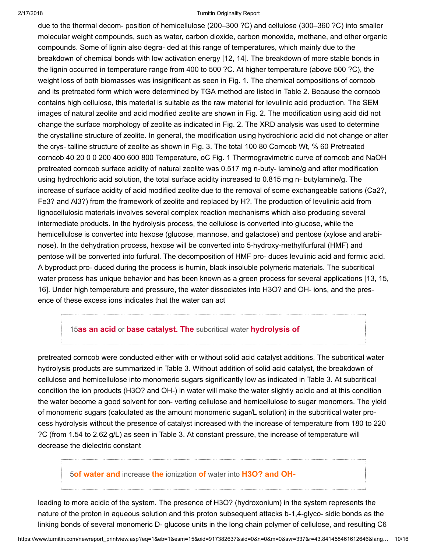#### 2/17/2018 Turnitin Originality Report

due to the thermal decom- position of hemicellulose (200–300 ?C) and cellulose (300–360 ?C) into smaller molecular weight compounds, such as water, carbon dioxide, carbon monoxide, methane, and other organic compounds. Some of lignin also degra- ded at this range of temperatures, which mainly due to the breakdown of chemical bonds with low activation energy [12, 14]. The breakdown of more stable bonds in the lignin occurred in temperature range from 400 to 500 ?C. At higher temperature (above 500 ?C), the weight loss of both biomasses was insignificant as seen in Fig. 1. The chemical compositions of corncob and its pretreated form which were determined by TGA method are listed in Table 2. Because the corncob contains high cellulose, this material is suitable as the raw material for levulinic acid production. The SEM images of natural zeolite and acid modified zeolite are shown in Fig. 2. The modification using acid did not change the surface morphology of zeolite as indicated in Fig. 2. The XRD analysis was used to determine the crystalline structure of zeolite. In general, the modification using hydrochloric acid did not change or alter the crys- talline structure of zeolite as shown in Fig. 3. The total 100 80 Corncob Wt, % 60 Pretreated corncob 40 20 0 0 200 400 600 800 Temperature, oC Fig. 1 Thermogravimetric curve of corncob and NaOH pretreated corncob surface acidity of natural zeolite was 0.517 mg n-buty- lamine/g and after modification using hydrochloric acid solution, the total surface acidity increased to 0.815 mg n- butylamine/g. The increase of surface acidity of acid modified zeolite due to the removal of some exchangeable cations (Ca2?, Fe3? and Al3?) from the framework of zeolite and replaced by H?. The production of levulinic acid from lignocellulosic materials involves several complex reaction mechanisms which also producing several intermediate products. In the hydrolysis process, the cellulose is converted into glucose, while the hemicellulose is converted into hexose (glucose, mannose, and galactose) and pentose (xylose and arabinose). In the dehydration process, hexose will be converted into 5-hydroxy-methylfurfural (HMF) and pentose will be converted into furfural. The decomposition of HMF pro- duces levulinic acid and formic acid. A byproduct pro- duced during the process is humin, black insoluble polymeric materials. The subcritical water process has unique behavior and has been known as a green process for several applications [13, 15, 16]. Under high temperature and pressure, the water dissociates into H3O? and OH- ions, and the presence of these excess ions indicates that the water can act

# 15as an acid or [base catalyst. The](javascript:openDSC(43182700, 37, ) subcritical water hydrolysis of

pretreated corncob were conducted either with or without solid acid catalyst additions. The subcritical water hydrolysis products are summarized in Table 3. Without addition of solid acid catalyst, the breakdown of cellulose and hemicellulose into monomeric sugars significantly low as indicated in Table 3. At subcritical condition the ion products (H3O? and OH-) in water will make the water slightly acidic and at this condition the water become a good solvent for con- verting cellulose and hemicellulose to sugar monomers. The yield of monomeric sugars (calculated as the amount monomeric sugar/L solution) in the subcritical water process hydrolysis without the presence of catalyst increased with the increase of temperature from 180 to 220 ?C (from 1.54 to 2.62 g/L) as seen in Table 3. At constant pressure, the increase of temperature will decrease the dielectric constant

## 5of water and increase the ionization of water into [H3O? and OH-](javascript:openDSC(57042313, 37, )

leading to more acidic of the system. The presence of H3O? (hydroxonium) in the system represents the nature of the proton in aqueous solution and this proton subsequent attacks b-1,4-glyco- sidic bonds as the linking bonds of several monomeric D- glucose units in the long chain polymer of cellulose, and resulting C6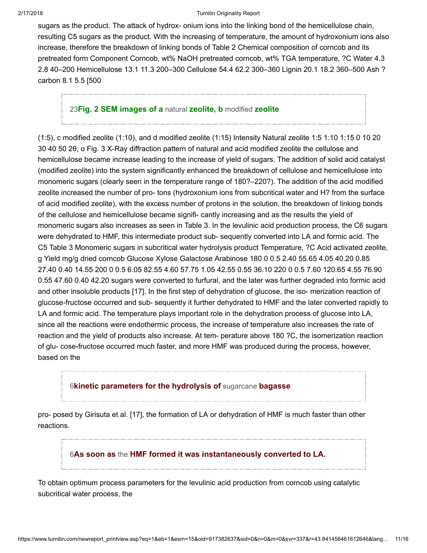sugars as the product. The attack of hydrox- onium ions into the linking bond of the hemicellulose chain, resulting C5 sugars as the product. With the increasing of temperature, the amount of hydroxonium ions also increase, therefore the breakdown of linking bonds of Table 2 Chemical composition of corncob and its pretreated form Component Corncob, wt% NaOH pretreated corncob, wt% TGA temperature, ?C Water 4.3 2.8 40–200 Hemicellulose 13.1 11.3 200–300 Cellulose 54.4 62.2 300–360 Lignin 20.1 18.2 360–500 Ash ? carbon 8.1 5.5 [500

### 23[Fig. 2 SEM images of a](javascript:openDSC(3539350576, 2474, ) natural zeolite, b modified zeolite

(1:5), c modified zeolite (1:10), and d modified zeolite (1:15) Intensity Natural zeolite 1:5 1:10 1:15 0 10 20 30 40 50 2θ, ο Fig. 3 X-Ray diffraction pattern of natural and acid modified zeolite the cellulose and hemicellulose became increase leading to the increase of yield of sugars. The addition of solid acid catalyst (modified zeolite) into the system significantly enhanced the breakdown of cellulose and hemicellulose into monomeric sugars (clearly seen in the temperature range of 180?–220?). The addition of the acid modified zeolite increased the number of pro- tons (hydroxonium ions from subcritical water and H? from the surface of acid modified zeolite), with the excess number of protons in the solution, the breakdown of linking bonds of the cellulose and hemicellulose became signifi- cantly increasing and as the results the yield of monomeric sugars also increases as seen in Table 3. In the levulinic acid production process, the C6 sugars were dehydrated to HMF, this intermediate product sub- sequently converted into LA and formic acid. The C5 Table 3 Monomeric sugars in subcritical water hydrolysis product Temperature, ?C Acid activated zeolite, g Yield mg/g dried corncob Glucose Xylose Galactose Arabinose 180 0 0.5 2.40 55.65 4.05 40.20 0.85 27.40 0.40 14.55 200 0 0.5 6.05 82.55 4.60 57.75 1.05 42.55 0.55 36.10 220 0 0.5 7.60 120.65 4.55 76.90 0.55 47.60 0.40 42.20 sugars were converted to furfural, and the later was further degraded into formic acid and other insoluble products [17]. In the first step of dehydration of glucose, the iso- merization reaction of glucose-fructose occurred and sub- sequently it further dehydrated to HMF and the later converted rapidly to LA and formic acid. The temperature plays important role in the dehydration process of glucose into LA, since all the reactions were endothermic process, the increase of temperature also increases the rate of reaction and the yield of products also increase. At tem- perature above 180 ?C, the isomerization reaction of glu- cose-fructose occurred much faster, and more HMF was produced during the process, however, based on the

## 6[kinetic parameters for the hydrolysis of](javascript:openDSC(42724136, 37, ) sugarcane bagasse

pro- posed by Girisuta et al. [17], the formation of LA or dehydration of HMF is much faster than other reactions.

# 6As soon as the [HMF formed it was instantaneously converted to LA.](javascript:openDSC(42724136, 37, )

To obtain optimum process parameters for the levulinic acid production from corncob using catalytic subcritical water process, the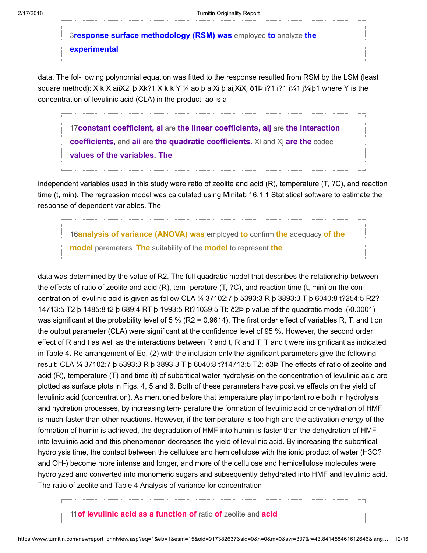3[response surface methodology \(RSM\) was](javascript:openDSC(788596661, 2909, ) employed to analyze the experimental

data. The fol- lowing polynomial equation was fitted to the response resulted from RSM by the LSM (least square method): X k X aiiX2i þ Xk?1 X k k Y ¼ ao þ aiXi þ aijXiXj ð1Þ i?1 i?1 i¼1 j¼iþ1 where Y is the concentration of levulinic acid (CLA) in the product, ao is a

17 constant coefficient, al are the linear coefficients, aij are the interaction coefficients, and aii are the quadratic coefficients. Xi and Xj are the codec [values of the variables. The](javascript:openDSC(30315006, 37, )

independent variables used in this study were ratio of zeolite and acid (R), temperature (T, ?C), and reaction time (t, min). The regression model was calculated using Minitab 16.1.1 Statistical software to estimate the response of dependent variables. The

16[analysis of variance \(ANOVA\) was](javascript:openDSC(581657296, 37, ) employed to confirm the adequacy of the model parameters. The suitability of the model to represent the

data was determined by the value of R2. The full quadratic model that describes the relationship between the effects of ratio of zeolite and acid (R), tem- perature (T, ?C), and reaction time (t, min) on the concentration of levulinic acid is given as follow CLA ¼ 37102:7 þ 5393:3 R þ 3893:3 T þ 6040:8 t?254:5 R2? 14713:5 T2 þ 1485:8 t2 þ 689:4 RT þ 1993:5 Rt?1039:5 Tt: ð2Þ p value of the quadratic model (\0.0001) was significant at the probability level of 5 % (R2 = 0.9614). The first order effect of variables R, T, and t on the output parameter (CLA) were significant at the confidence level of 95 %. However, the second order effect of R and t as well as the interactions between R and t, R and T, T and t were insignificant as indicated in Table 4. Re-arrangement of Eq. (2) with the inclusion only the significant parameters give the following result: CLA ¼ 37102:7 þ 5393:3 R þ 3893:3 T þ 6040:8 t?14713:5 T2: ð3Þ The effects of ratio of zeolite and acid (R), temperature (T) and time (t) of subcritical water hydrolysis on the concentration of levulinic acid are plotted as surface plots in Figs. 4, 5 and 6. Both of these parameters have positive effects on the yield of levulinic acid (concentration). As mentioned before that temperature play important role both in hydrolysis and hydration processes, by increasing tem- perature the formation of levulinic acid or dehydration of HMF is much faster than other reactions. However, if the temperature is too high and the activation energy of the formation of humin is achieved, the degradation of HMF into humin is faster than the dehydration of HMF into levulinic acid and this phenomenon decreases the yield of levulinic acid. By increasing the subcritical hydrolysis time, the contact between the cellulose and hemicellulose with the ionic product of water (H3O? and OH-) become more intense and longer, and more of the cellulose and hemicellulose molecules were hydrolyzed and converted into monomeric sugars and subsequently dehydrated into HMF and levulinic acid. The ratio of zeolite and Table 4 Analysis of variance for concentration

# 11 [of levulinic acid as a function of](javascript:openDSC(2798977049, 2209, ) ratio of zeolite and acid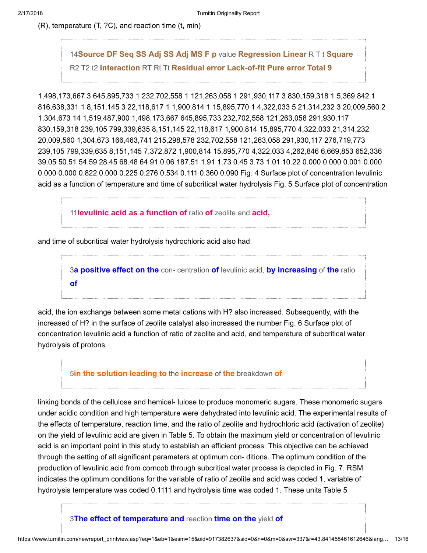(R), temperature (T, ?C), and reaction time (t, min)

14Source DF Seq SS Adj SS Adj MS F p value Regression Linear R T t Square R2 T2 t2 Interaction RT Rt Tt [Residual error Lack-of-fit Pure error Total 9](javascript:openDSC(684244806, 1, )

1,498,173,667 3 645,895,733 1 232,702,558 1 121,263,058 1 291,930,117 3 830,159,318 1 5,369,842 1 816,638,331 1 8,151,145 3 22,118,617 1 1,900,814 1 15,895,770 1 4,322,033 5 21,314,232 3 20,009,560 2 1,304,673 14 1,519,487,900 1,498,173,667 645,895,733 232,702,558 121,263,058 291,930,117 830,159,318 239,105 799,339,635 8,151,145 22,118,617 1,900,814 15,895,770 4,322,033 21,314,232 20,009,560 1,304,673 166,463,741 215,298,578 232,702,558 121,263,058 291,930,117 276,719,773 239,105 799,339,635 8,151,145 7,372,872 1,900,814 15,895,770 4,322,033 4,262,846 6,669,853 652,336 39.05 50.51 54.59 28.45 68.48 64.91 0.06 187.51 1.91 1.73 0.45 3.73 1.01 10.22 0.000 0.000 0.001 0.000 0.000 0.000 0.822 0.000 0.225 0.276 0.534 0.111 0.360 0.090 Fig. 4 Surface plot of concentration levulinic acid as a function of temperature and time of subcritical water hydrolysis Fig. 5 Surface plot of concentration

11[levulinic acid as a function of](javascript:openDSC(2798977049, 2209, ) ratio of zeolite and acid,

and time of subcritical water hydrolysis hydrochloric acid also had

3[a positive effect on the](javascript:openDSC(788596661, 2909, ) con- centration of levulinic acid, by increasing of the ratio of

acid, the ion exchange between some metal cations with H? also increased. Subsequently, with the increased of H? in the surface of zeolite catalyst also increased the number Fig. 6 Surface plot of concentration levulinic acid a function of ratio of zeolite and acid, and temperature of subcritical water hydrolysis of protons

5[in the solution leading to](javascript:openDSC(57042313, 37, ) the increase of the breakdown of

linking bonds of the cellulose and hemicel- lulose to produce monomeric sugars. These monomeric sugars under acidic condition and high temperature were dehydrated into levulinic acid. The experimental results of the effects of temperature, reaction time, and the ratio of zeolite and hydrochloric acid (activation of zeolite) on the yield of levulinic acid are given in Table 5. To obtain the maximum yield or concentration of levulinic acid is an important point in this study to establish an efficient process. This objective can be achieved through the setting of all significant parameters at optimum con- ditions. The optimum condition of the production of levulinic acid from corncob through subcritical water process is depicted in Fig. 7. RSM indicates the optimum conditions for the variable of ratio of zeolite and acid was coded 1, variable of hydrolysis temperature was coded 0.1111 and hydrolysis time was coded 1. These units Table 5

3[The effect of temperature and](javascript:openDSC(788596661, 2909, ) reaction time on the yield of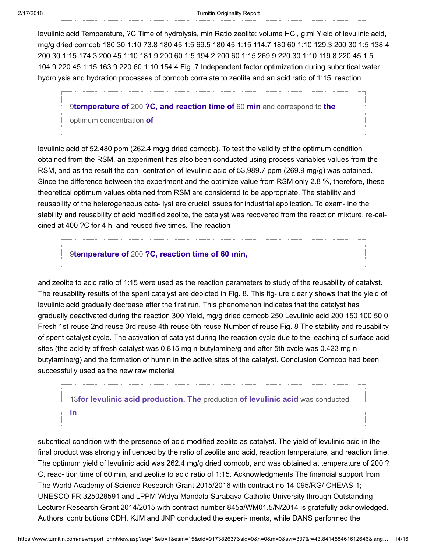levulinic acid Temperature, ?C Time of hydrolysis, min Ratio zeolite: volume HCl, g:ml Yield of levulinic acid, mg/g dried corncob 180 30 1:10 73.8 180 45 1:5 69.5 180 45 1:15 114.7 180 60 1:10 129.3 200 30 1:5 138.4 200 30 1:15 174.3 200 45 1:10 181.9 200 60 1:5 194.2 200 60 1:15 269.9 220 30 1:10 119.8 220 45 1:5 104.9 220 45 1:15 163.9 220 60 1:10 154.4 Fig. 7 Independent factor optimization during subcritical water hydrolysis and hydration processes of corncob correlate to zeolite and an acid ratio of 1:15, reaction

9temperature of 200 [?C, and reaction time of](javascript:openDSC(823765653, 2909, ) 60 min and correspond to the optimum concentration of

levulinic acid of 52,480 ppm (262.4 mg/g dried corncob). To test the validity of the optimum condition obtained from the RSM, an experiment has also been conducted using process variables values from the RSM, and as the result the con- centration of levulinic acid of 53,989.7 ppm (269.9 mg/g) was obtained. Since the difference between the experiment and the optimize value from RSM only 2.8 %, therefore, these theoretical optimum values obtained from RSM are considered to be appropriate. The stability and reusability of the heterogeneous cata- lyst are crucial issues for industrial application. To exam- ine the stability and reusability of acid modified zeolite, the catalyst was recovered from the reaction mixture, re-calcined at 400 ?C for 4 h, and reused five times. The reaction

# 9temperature of 200 [?C, reaction time of 60 min,](javascript:openDSC(823765653, 2909, )

and zeolite to acid ratio of 1:15 were used as the reaction parameters to study of the reusability of catalyst. The reusability results of the spent catalyst are depicted in Fig. 8. This fig- ure clearly shows that the yield of levulinic acid gradually decrease after the first run. This phenomenon indicates that the catalyst has gradually deactivated during the reaction 300 Yield, mg/g dried corncob 250 Levulinic acid 200 150 100 50 0 Fresh 1st reuse 2nd reuse 3rd reuse 4th reuse 5th reuse Number of reuse Fig. 8 The stability and reusability of spent catalyst cycle. The activation of catalyst during the reaction cycle due to the leaching of surface acid sites (the acidity of fresh catalyst was 0.815 mg n-butylamine/g and after 5th cycle was 0.423 mg nbutylamine/g) and the formation of humin in the active sites of the catalyst. Conclusion Corncob had been successfully used as the new raw material

# 13[for levulinic acid production. The](javascript:openDSC(59936622, 37, ) production of levulinic acid was conducted in

subcritical condition with the presence of acid modified zeolite as catalyst. The yield of levulinic acid in the final product was strongly influenced by the ratio of zeolite and acid, reaction temperature, and reaction time. The optimum yield of levulinic acid was 262.4 mg/g dried corncob, and was obtained at temperature of 200 ? C, reac- tion time of 60 min, and zeolite to acid ratio of 1:15. Acknowledgments The financial support from The World Academy of Science Research Grant 2015/2016 with contract no 14-095/RG/ CHE/AS-1; UNESCO FR:325028591 and LPPM Widya Mandala Surabaya Catholic University through Outstanding Lecturer Research Grant 2014/2015 with contract number 845a/WM01.5/N/2014 is gratefully acknowledged. Authors' contributions CDH, KJM and JNP conducted the experi- ments, while DANS performed the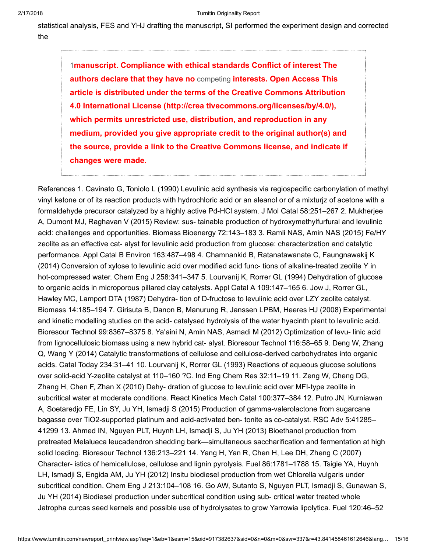statistical analysis, FES and YHJ drafting the manuscript, SI performed the experiment design and corrected the

1manuscript. Compliance with ethical standards Conflict of interest The authors declare that they have no competing interests. Open Access This article is distributed under the terms of the Creative Commons Attribution 4.0 International License (http://crea tivecommons.org/licenses/by/4.0/), which permits unrestricted use, distribution, and reproduction in any medium, provided you give appropriate credit to the original author(s) and [the source, provide a link to the Creative Commons license, and indicate if](javascript:openDSC(766299337, 1, ) changes were made.

References 1. Cavinato G, Toniolo L (1990) Levulinic acid synthesis via regiospecific carbonylation of methyl vinyl ketone or of its reaction products with hydrochloric acid or an aleanol or of a mixturjz of acetone with a formaldehyde precursor catalyzed by a highly active Pd-HCl system. J Mol Catal 58:251–267 2. Mukherjee A, Dumont MJ, Raghavan V (2015) Review: sus- tainable production of hydroxymethylfurfural and levulinic acid: challenges and opportunities. Biomass Bioenergy 72:143–183 3. Ramli NAS, Amin NAS (2015) Fe/HY zeolite as an effective cat- alyst for levulinic acid production from glucose: characterization and catalytic performance. Appl Catal B Environ 163:487–498 4. Chamnankid B, Ratanatawanate C, Faungnawakij K (2014) Conversion of xylose to levulinic acid over modified acid func- tions of alkaline-treated zeolite Y in hot-compressed water. Chem Eng J 258:341–347 5. Lourvanij K, Rorrer GL (1994) Dehydration of glucose to organic acids in microporous pillared clay catalysts. Appl Catal A 109:147–165 6. Jow J, Rorrer GL, Hawley MC, Lamport DTA (1987) Dehydra- tion of D-fructose to levulinic acid over LZY zeolite catalyst. Biomass 14:185–194 7. Girisuta B, Danon B, Manurung R, Janssen LPBM, Heeres HJ (2008) Experimental and kinetic modelling studies on the acid- catalysed hydrolysis of the water hyacinth plant to levulinic acid. Bioresour Technol 99:8367–8375 8. Ya'aini N, Amin NAS, Asmadi M (2012) Optimization of levu- linic acid from lignocellulosic biomass using a new hybrid cat- alyst. Bioresour Technol 116:58–65 9. Deng W, Zhang Q, Wang Y (2014) Catalytic transformations of cellulose and cellulose-derived carbohydrates into organic acids. Catal Today 234:31–41 10. Lourvanij K, Rorrer GL (1993) Reactions of aqueous glucose solutions over solid-acid Y-zeolite catalyst at 110–160 ?C. Ind Eng Chem Res 32:11–19 11. Zeng W, Cheng DG, Zhang H, Chen F, Zhan X (2010) Dehy- dration of glucose to levulinic acid over MFI-type zeolite in subcritical water at moderate conditions. React Kinetics Mech Catal 100:377–384 12. Putro JN, Kurniawan A, Soetaredjo FE, Lin SY, Ju YH, Ismadji S (2015) Production of gamma-valerolactone from sugarcane bagasse over TiO2-supported platinum and acid-activated ben- tonite as co-catalyst. RSC Adv 5:41285– 41299 13. Ahmed IN, Nguyen PLT, Huynh LH, Ismadji S, Ju YH (2013) Bioethanol production from pretreated Melalueca leucadendron shedding bark—simultaneous saccharification and fermentation at high solid loading. Bioresour Technol 136:213–221 14. Yang H, Yan R, Chen H, Lee DH, Zheng C (2007) Character- istics of hemicellulose, cellulose and lignin pyrolysis. Fuel 86:1781–1788 15. Tsigie YA, Huynh LH, Ismadji S, Engida AM, Ju YH (2012) Insitu biodiesel production from wet Chlorella vulgaris under subcritical condition. Chem Eng J 213:104–108 16. Go AW, Sutanto S, Nguyen PLT, Ismadji S, Gunawan S, Ju YH (2014) Biodiesel production under subcritical condition using sub- critical water treated whole Jatropha curcas seed kernels and possible use of hydrolysates to grow Yarrowia lipolytica. Fuel 120:46–52